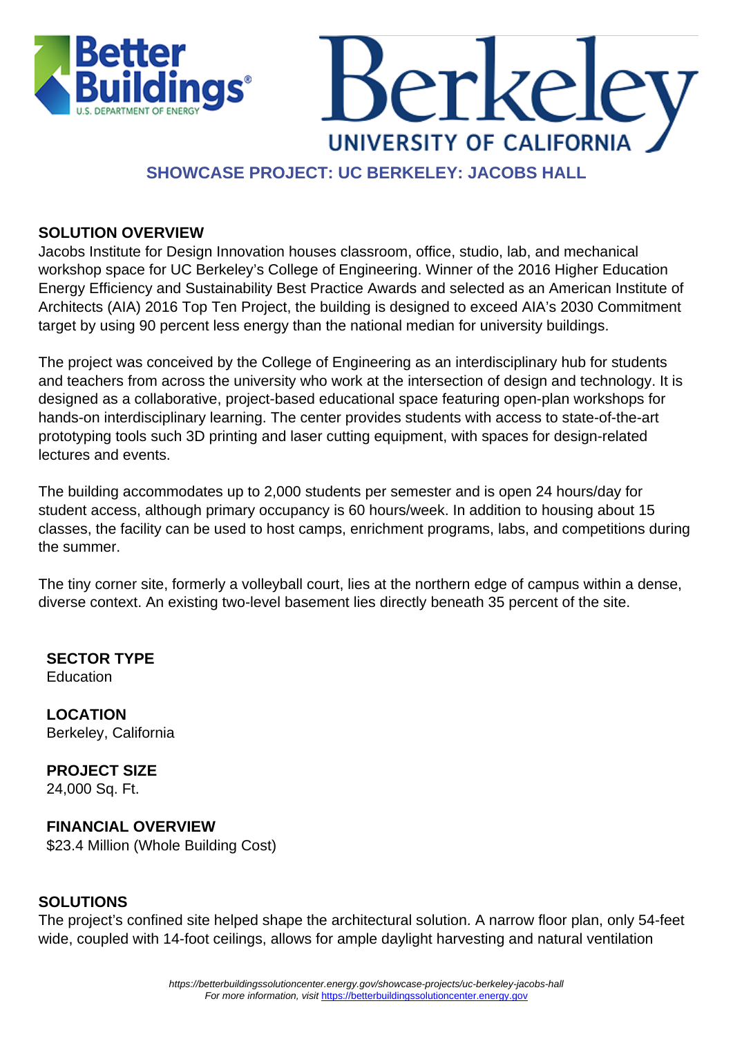



### **SHOWCASE PROJECT: UC BERKELEY: JACOBS HALL**

#### **SOLUTION OVERVIEW**

Jacobs Institute for Design Innovation houses classroom, office, studio, lab, and mechanical workshop space for UC Berkeley's College of Engineering. Winner of the 2016 Higher Education Energy Efficiency and Sustainability Best Practice Awards and selected as an American Institute of Architects (AIA) 2016 Top Ten Project, the building is designed to exceed AIA's 2030 Commitment target by using 90 percent less energy than the national median for university buildings.

The project was conceived by the College of Engineering as an interdisciplinary hub for students and teachers from across the university who work at the intersection of design and technology. It is designed as a collaborative, project-based educational space featuring open-plan workshops for hands-on interdisciplinary learning. The center provides students with access to state-of-the-art prototyping tools such 3D printing and laser cutting equipment, with spaces for design-related lectures and events.

The building accommodates up to 2,000 students per semester and is open 24 hours/day for student access, although primary occupancy is 60 hours/week. In addition to housing about 15 classes, the facility can be used to host camps, enrichment programs, labs, and competitions during the summer.

The tiny corner site, formerly a volleyball court, lies at the northern edge of campus within a dense, diverse context. An existing two-level basement lies directly beneath 35 percent of the site.

**SECTOR TYPE** Education

**LOCATION** Berkeley, California

**PROJECT SIZE** 24,000 Sq. Ft.

#### **FINANCIAL OVERVIEW**

\$23.4 Million (Whole Building Cost)

#### **SOLUTIONS**

The project's confined site helped shape the architectural solution. A narrow floor plan, only 54-feet wide, coupled with 14-foot ceilings, allows for ample daylight harvesting and natural ventilation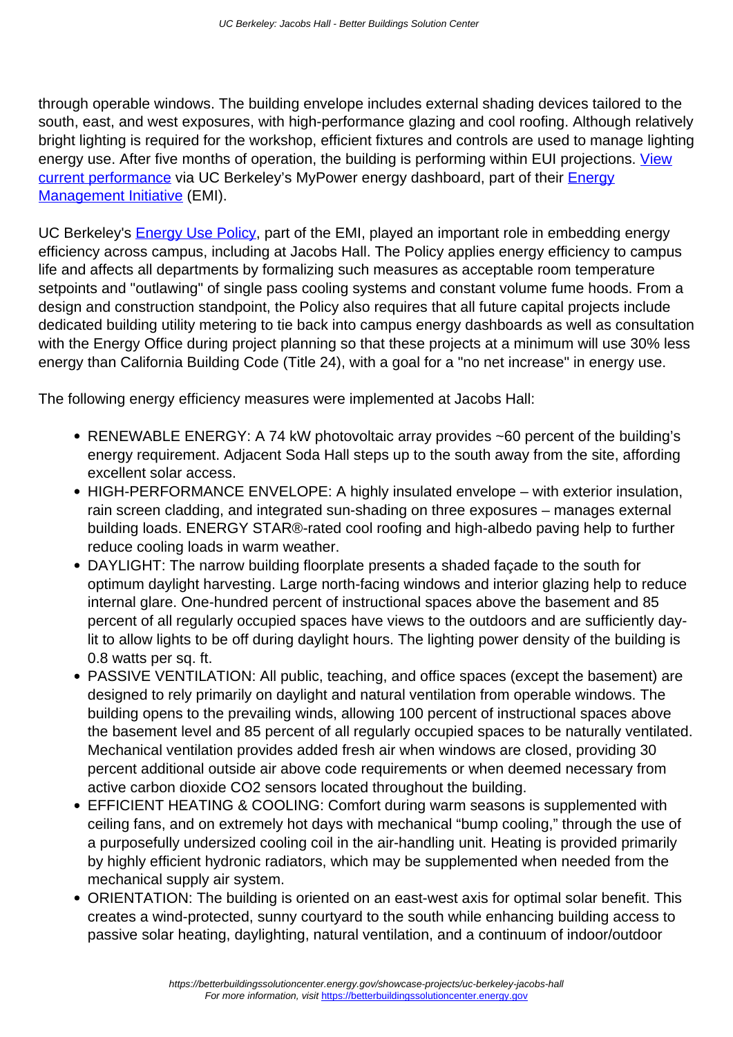through operable windows. The building envelope includes external shading devices tailored to the south, east, and west exposures, with high-performance glazing and cool roofing. Although relatively bright lighting is required for the workshop, efficient fixtures and controls are used to manage lighting energy use. After five months of operation, the building is performing within EUI projections. [View](https://engagementdashboard.com/ucb/building/199) [current performance](https://engagementdashboard.com/ucb/building/199) via UC Berkeley's MyPower energy dashboard, part of their **Energy** [Management Initiative](https://betterbuildingssolutioncenter.energy.gov/implementation-models/tying-energy-costs-building-occupants) (EMI).

UC Berkeley's **Energy Use Policy**, part of the EMI, played an important role in embedding energy efficiency across campus, including at Jacobs Hall. The Policy applies energy efficiency to campus life and affects all departments by formalizing such measures as acceptable room temperature setpoints and "outlawing" of single pass cooling systems and constant volume fume hoods. From a design and construction standpoint, the Policy also requires that all future capital projects include dedicated building utility metering to tie back into campus energy dashboards as well as consultation with the Energy Office during project planning so that these projects at a minimum will use 30% less energy than California Building Code (Title 24), with a goal for a "no net increase" in energy use.

The following energy efficiency measures were implemented at Jacobs Hall:

- RENEWABLE ENERGY: A 74 kW photovoltaic array provides ~60 percent of the building's energy requirement. Adjacent Soda Hall steps up to the south away from the site, affording excellent solar access.
- HIGH-PERFORMANCE ENVELOPE: A highly insulated envelope with exterior insulation, rain screen cladding, and integrated sun-shading on three exposures – manages external building loads. ENERGY STAR®-rated cool roofing and high-albedo paving help to further reduce cooling loads in warm weather.
- DAYLIGHT: The narrow building floorplate presents a shaded façade to the south for optimum daylight harvesting. Large north-facing windows and interior glazing help to reduce internal glare. One-hundred percent of instructional spaces above the basement and 85 percent of all regularly occupied spaces have views to the outdoors and are sufficiently daylit to allow lights to be off during daylight hours. The lighting power density of the building is 0.8 watts per sq. ft.
- PASSIVE VENTILATION: All public, teaching, and office spaces (except the basement) are designed to rely primarily on daylight and natural ventilation from operable windows. The building opens to the prevailing winds, allowing 100 percent of instructional spaces above the basement level and 85 percent of all regularly occupied spaces to be naturally ventilated. Mechanical ventilation provides added fresh air when windows are closed, providing 30 percent additional outside air above code requirements or when deemed necessary from active carbon dioxide CO2 sensors located throughout the building.
- EFFICIENT HEATING & COOLING: Comfort during warm seasons is supplemented with ceiling fans, and on extremely hot days with mechanical "bump cooling," through the use of a purposefully undersized cooling coil in the air-handling unit. Heating is provided primarily by highly efficient hydronic radiators, which may be supplemented when needed from the mechanical supply air system.
- ORIENTATION: The building is oriented on an east-west axis for optimal solar benefit. This creates a wind-protected, sunny courtyard to the south while enhancing building access to passive solar heating, daylighting, natural ventilation, and a continuum of indoor/outdoor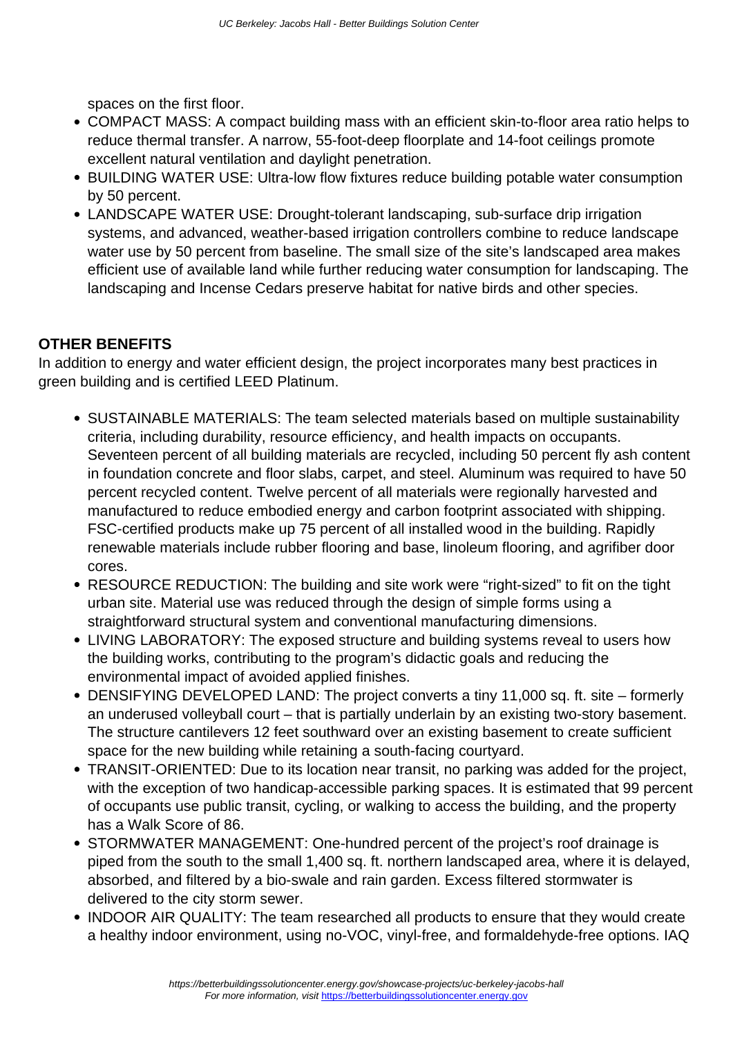spaces on the first floor.

- COMPACT MASS: A compact building mass with an efficient skin-to-floor area ratio helps to reduce thermal transfer. A narrow, 55-foot-deep floorplate and 14-foot ceilings promote excellent natural ventilation and daylight penetration.
- BUILDING WATER USE: Ultra-low flow fixtures reduce building potable water consumption by 50 percent.
- LANDSCAPE WATER USE: Drought-tolerant landscaping, sub-surface drip irrigation systems, and advanced, weather-based irrigation controllers combine to reduce landscape water use by 50 percent from baseline. The small size of the site's landscaped area makes efficient use of available land while further reducing water consumption for landscaping. The landscaping and Incense Cedars preserve habitat for native birds and other species.

#### **OTHER BENEFITS**

In addition to energy and water efficient design, the project incorporates many best practices in green building and is certified LEED Platinum.

- SUSTAINABLE MATERIALS: The team selected materials based on multiple sustainability criteria, including durability, resource efficiency, and health impacts on occupants. Seventeen percent of all building materials are recycled, including 50 percent fly ash content in foundation concrete and floor slabs, carpet, and steel. Aluminum was required to have 50 percent recycled content. Twelve percent of all materials were regionally harvested and manufactured to reduce embodied energy and carbon footprint associated with shipping. FSC-certified products make up 75 percent of all installed wood in the building. Rapidly renewable materials include rubber flooring and base, linoleum flooring, and agrifiber door cores.
- RESOURCE REDUCTION: The building and site work were "right-sized" to fit on the tight urban site. Material use was reduced through the design of simple forms using a straightforward structural system and conventional manufacturing dimensions.
- LIVING LABORATORY: The exposed structure and building systems reveal to users how the building works, contributing to the program's didactic goals and reducing the environmental impact of avoided applied finishes.
- DENSIFYING DEVELOPED LAND: The project converts a tiny 11,000 sq. ft. site formerly an underused volleyball court – that is partially underlain by an existing two-story basement. The structure cantilevers 12 feet southward over an existing basement to create sufficient space for the new building while retaining a south-facing courtyard.
- TRANSIT-ORIENTED: Due to its location near transit, no parking was added for the project, with the exception of two handicap-accessible parking spaces. It is estimated that 99 percent of occupants use public transit, cycling, or walking to access the building, and the property has a Walk Score of 86.
- STORMWATER MANAGEMENT: One-hundred percent of the project's roof drainage is piped from the south to the small 1,400 sq. ft. northern landscaped area, where it is delayed, absorbed, and filtered by a bio-swale and rain garden. Excess filtered stormwater is delivered to the city storm sewer.
- INDOOR AIR QUALITY: The team researched all products to ensure that they would create a healthy indoor environment, using no-VOC, vinyl-free, and formaldehyde-free options. IAQ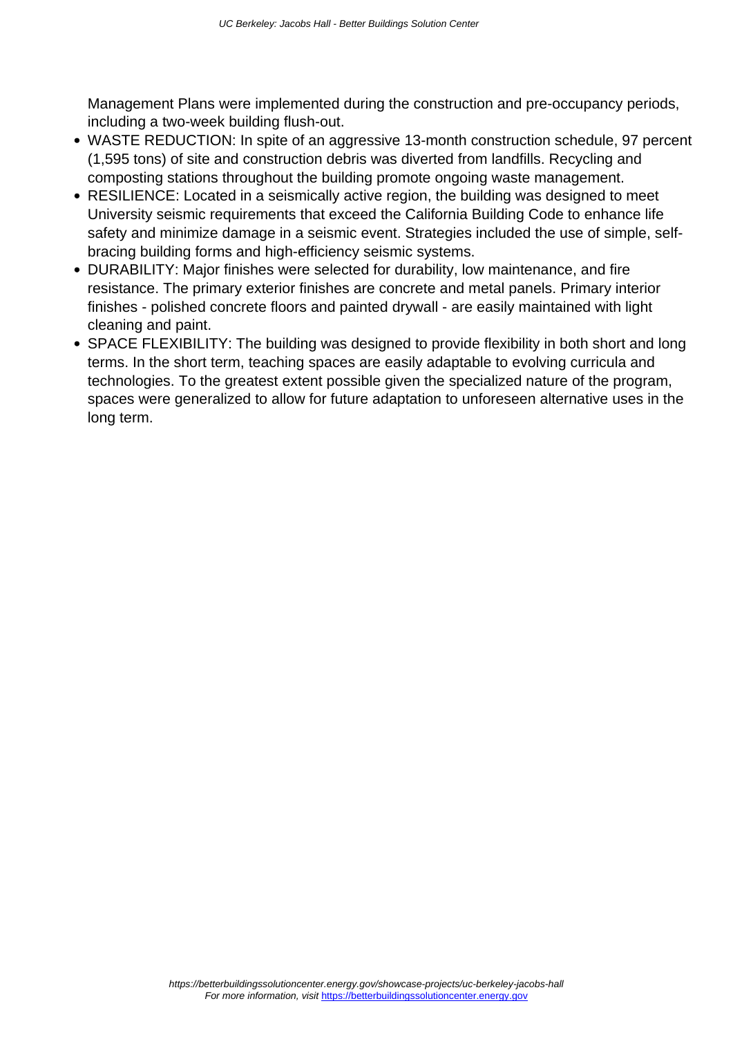Management Plans were implemented during the construction and pre-occupancy periods, including a two-week building flush-out.

- WASTE REDUCTION: In spite of an aggressive 13-month construction schedule, 97 percent (1,595 tons) of site and construction debris was diverted from landfills. Recycling and composting stations throughout the building promote ongoing waste management.
- RESILIENCE: Located in a seismically active region, the building was designed to meet University seismic requirements that exceed the California Building Code to enhance life safety and minimize damage in a seismic event. Strategies included the use of simple, selfbracing building forms and high-efficiency seismic systems.
- DURABILITY: Major finishes were selected for durability, low maintenance, and fire resistance. The primary exterior finishes are concrete and metal panels. Primary interior finishes - polished concrete floors and painted drywall - are easily maintained with light cleaning and paint.
- SPACE FLEXIBILITY: The building was designed to provide flexibility in both short and long terms. In the short term, teaching spaces are easily adaptable to evolving curricula and technologies. To the greatest extent possible given the specialized nature of the program, spaces were generalized to allow for future adaptation to unforeseen alternative uses in the long term.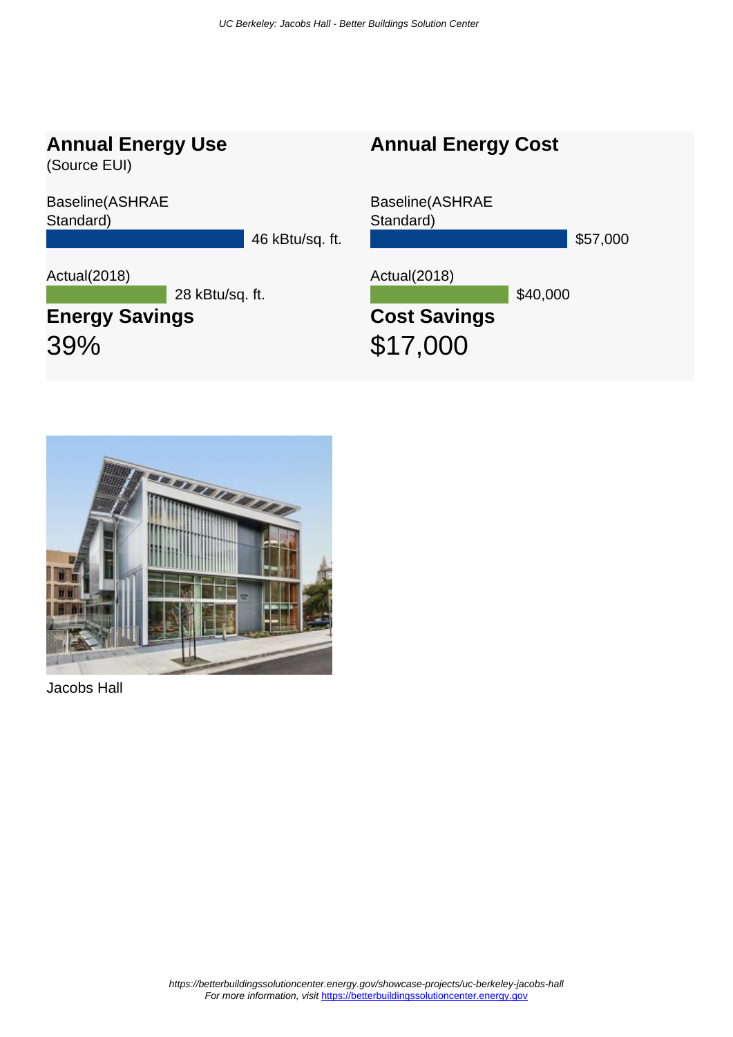### **Annual Energy Use**

(Source EUI)

Baseline(ASHRAE Standard)

46 kBtu/sq. ft.

Actual(2018)

28 kBtu/sq. ft.

## **Energy Savings** 39%

# Baseline(ASHRAE Standard) \$57,000 Actual(2018) \$40,000 **Cost Savings** \$17,000

**Annual Energy Cost**



Jacobs Hall